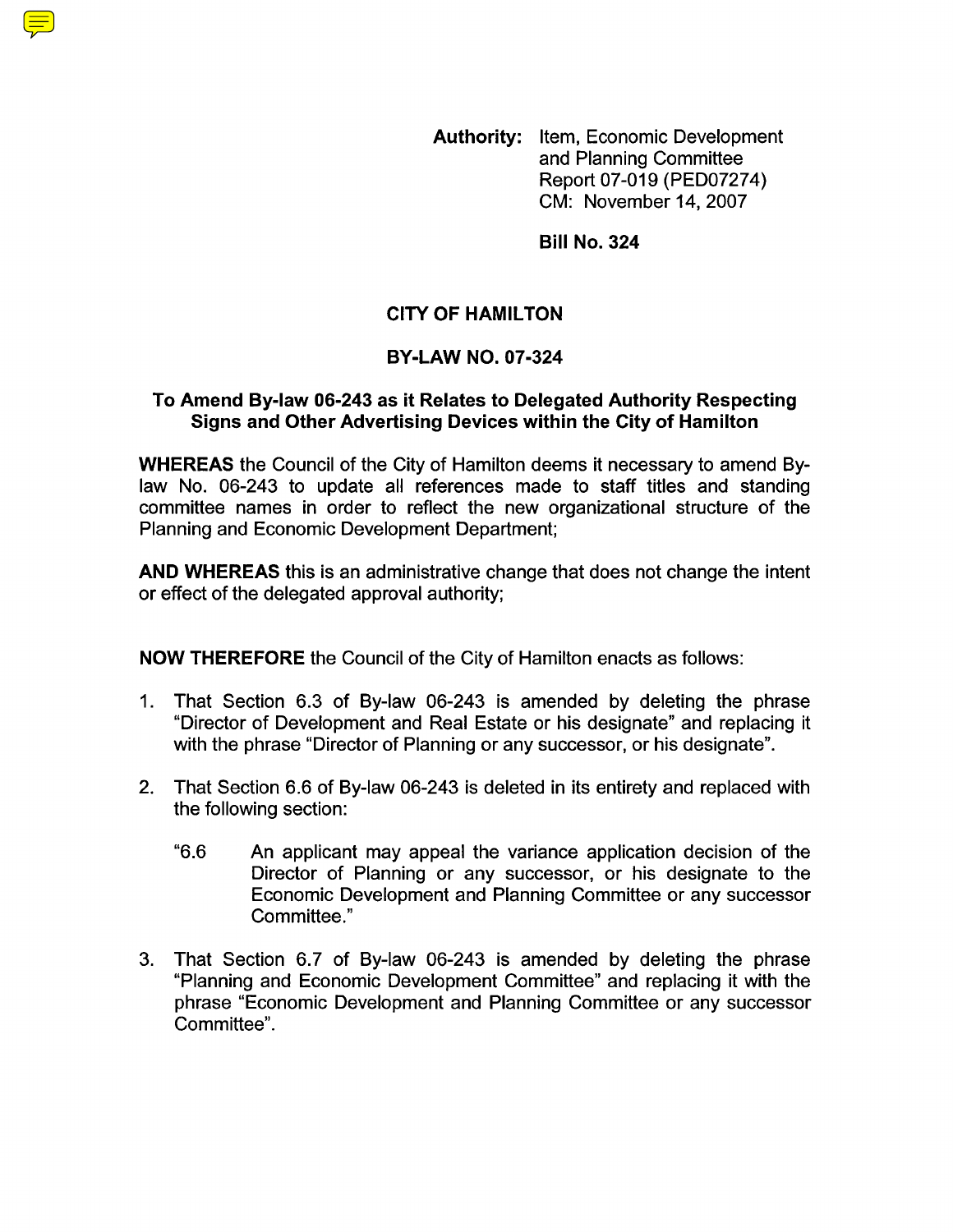**Authority:** Item, Economic Development and Planning Committee Report 07-019 (PED07274) CM: November 14,2007

**Bill No. 324** 

## **CITY OF HAMILTON**

## **BY-LAW NO. 07-324**

## **To Amend By-law 06-243 as it Relates to Delegated Authority Respecting Signs and Other Advertising Devices within the City of Hamilton**

**WHEREAS** the Council of the City of Hamilton deems it necessary to amend Bylaw No. 06-243 to update all references made to staff titles and standing committee names in order to reflect the new organizational structure of the Planning and Economic Development Department;

**AND WHEREAS** this is an administrative change that does not change the intent or effect of the delegated approval authority;

**NOW THEREFORE** the Council of the City of Hamilton enacts as follows:

- 1. That Section 6.3 of By-law 06-243 is amended by deleting the phrase "Director of Development and Real Estate or his designate" and replacing it with the phrase "Director of Planning or any successor, or his designate".
- 2. That Section 6.6 of By-law 06-243 is deleted in its entirety and replaced with the following section:
	- "6.6 An applicant may appeal the variance application decision of the Director of Planning or any successor, or his designate to the Economic Development and Planning Committee or any successor Committee."
- 3. That Section 6.7 of By-law 06-243 is amended by deleting the phrase "Planning and Economic Development Committee" and replacing it with the phrase "Economic Development and Planning Committee or any successor Committee".